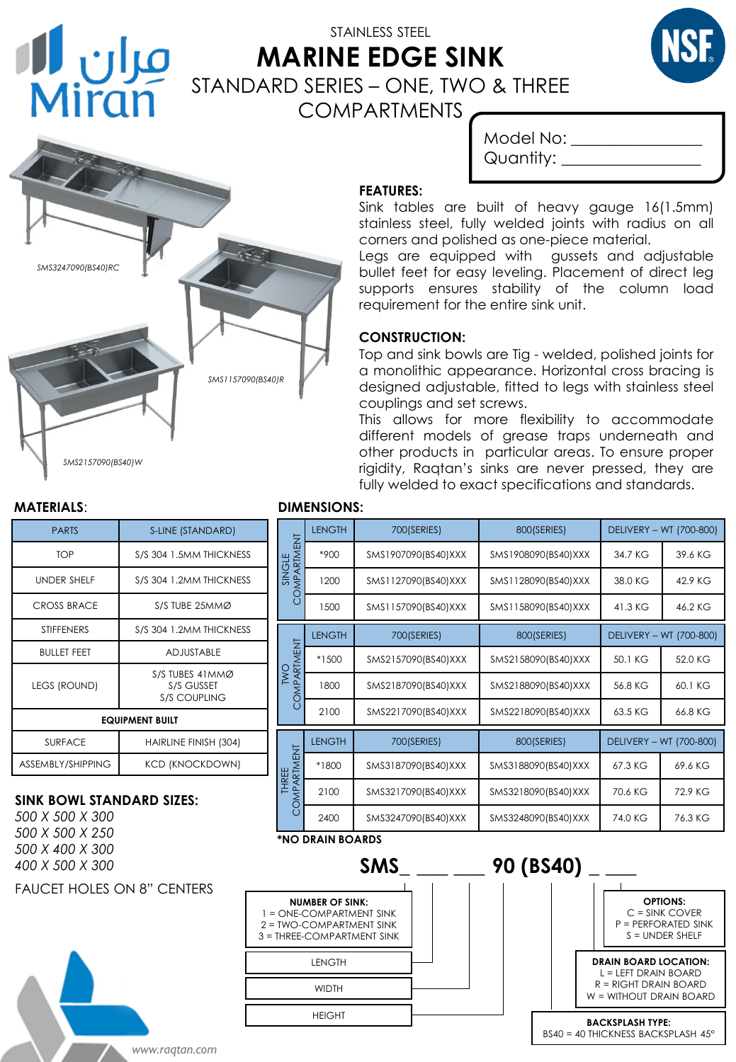

# STAINLESS STEEL **MARINE EDGE SINK** STANDARD SERIES – ONE, TWO & THREE COMPARTMENTS



| Model No: |  |
|-----------|--|
| Quantity: |  |

### **FEATURES:**

Sink tables are built of heavy gauge 16(1.5mm) stainless steel, fully welded joints with radius on all corners and polished as one-piece material.

Legs are equipped with gussets and adjustable bullet feet for easy leveling. Placement of direct leg supports ensures stability of the column load requirement for the entire sink unit.

#### **CONSTRUCTION:**

Top and sink bowls are Tig - welded, polished joints for a monolithic appearance. Horizontal cross bracing is designed adjustable, fitted to legs with stainless steel couplings and set screws.

This allows for more flexibility to accommodate different models of grease traps underneath and other products in particular areas. To ensure proper rigidity, Raqtan's sinks are never pressed, they are fully welded to exact specifications and standards.

| <b>PARTS</b>           | S-LINE (STANDARD)                                     |  |  |  |
|------------------------|-------------------------------------------------------|--|--|--|
| <b>TOP</b>             | S/S 304 1.5MM THICKNESS                               |  |  |  |
| <b>UNDER SHELF</b>     | S/S 304 1.2MM THICKNESS                               |  |  |  |
| <b>CROSS BRACE</b>     | S/S TUBE 25MMØ                                        |  |  |  |
| <b>STIFFENERS</b>      | S/S 304 1.2MM THICKNESS                               |  |  |  |
| <b>BULLET FEET</b>     | <b>ADJUSTABLE</b>                                     |  |  |  |
| <b>LEGS (ROUND)</b>    | S/S TUBES 41 MMØ<br>S/S GUSSET<br><b>S/S COUPLING</b> |  |  |  |
| <b>EQUIPMENT BUILT</b> |                                                       |  |  |  |
| <b>SURFACE</b>         | HAIRLINE FINISH (304)                                 |  |  |  |
| ASSEMBLY/SHIPPING      | <b>KCD (KNOCKDOWN)</b>                                |  |  |  |

#### **SINK BOWL STANDARD SIZES:**

*500 X 500 X 300 500 X 500 X 250 500 X 400 X 300 400 X 500 X 300*

FAUCET HOLES ON 8" CENTERS



#### **MATERIALS**: **DIMENSIONS:**

| טרושונושט.                  |               |                     |                     |                         |         |  |
|-----------------------------|---------------|---------------------|---------------------|-------------------------|---------|--|
| SINGLE<br>COMPARTMENT       | <b>LENGTH</b> | 700(SERIES)         | 800(SERIES)         | DELIVERY - WT (700-800) |         |  |
|                             | *900          | SMS1907090(BS40)XXX | SMS1908090(BS40)XXX | 34.7 KG                 | 39.6 KG |  |
|                             | 1200          | SMS1127090(BS40)XXX | SMS1128090(BS40)XXX | 38.0 KG                 | 42.9 KG |  |
|                             | 1500          | SMS1157090(BS40)XXX | SMS1158090(BS40)XXX | 41.3 KG                 | 46.2 KG |  |
| TWO<br>COMPARTMENT          | <b>LENGTH</b> | 700(SERIES)         | 800(SERIES)         | DELIVERY - WT (700-800) |         |  |
|                             | *1500         | SMS2157090(BS40)XXX | SMS2158090(BS40)XXX | 50.1 KG                 | 52.0 KG |  |
|                             | 1800          | SMS2187090(BS40)XXX | SMS2188090(BS40)XXX | 56.8 KG                 | 60.1 KG |  |
|                             | 2100          | SMS2217090(BS40)XXX | SMS2218090(BS40)XXX | 63.5 KG                 | 66.8 KG |  |
| COMPARIMENT<br><b>THREE</b> | <b>LENGTH</b> | 700(SERIES)         | 800(SERIES)         | DELIVERY - WT (700-800) |         |  |
|                             | *1800         | SMS3187090(BS40)XXX | SMS3188090(BS40)XXX | 67.3 KG                 | 69.6 KG |  |
|                             | 2100          | SMS3217090(BS40)XXX | SMS3218090(BS40)XXX | 70.6 KG                 | 72.9 KG |  |
|                             | 2400          | SMS3247090(BS40)XXX | SMS3248090(BS40)XXX | 74.0 KG                 | 76.3 KG |  |
| $*$ ua bhaill ba anna       |               |                     |                     |                         |         |  |



**NUMBER OF SINK:**

WIDTH

LENGTH

HEIGHT



*www.raqtan.com*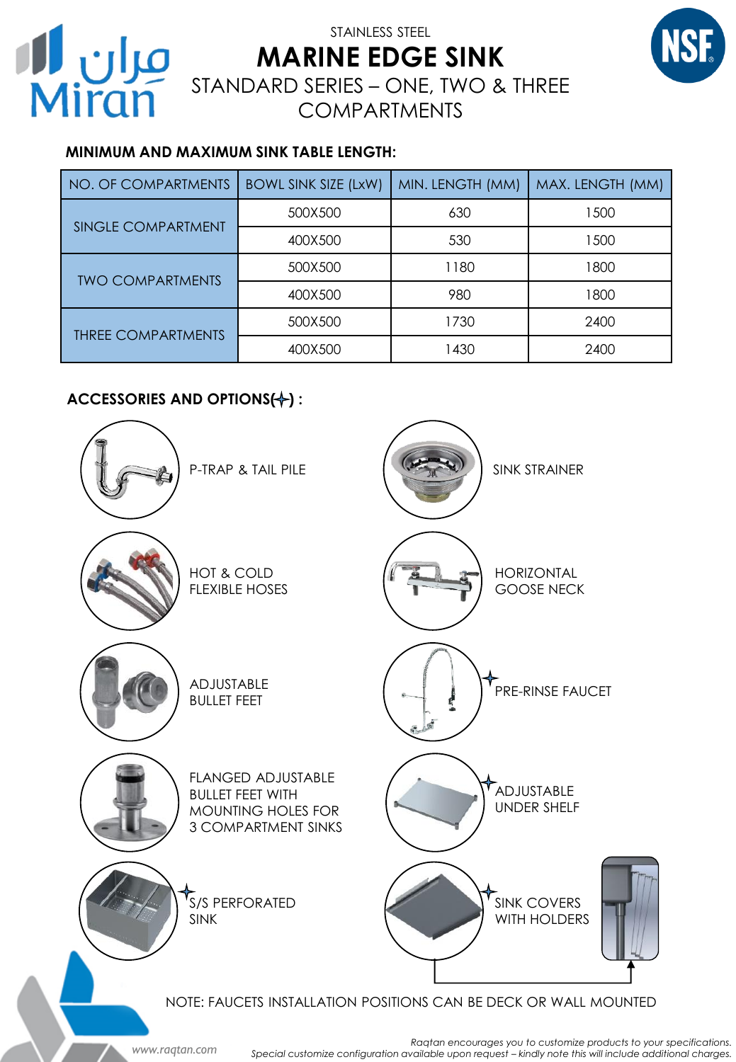

# STAINLESS STEEL **MARINE EDGE SINK STAINLESS STEEL**<br>MARINE EDGE SINK STANDARD SERIES – ONE, TWO & THREE COMPARTMENTS

## **MINIMUM AND MAXIMUM SINK TABLE LENGTH:**

| NO. OF COMPARTMENTS            | <b>BOWL SINK SIZE (LxW)</b> | MIN. LENGTH (MM) | MAX. LENGTH (MM) |
|--------------------------------|-----------------------------|------------------|------------------|
| <b>SINGLE COMPARTMENT</b>      | 500X500                     | 630              | 1500             |
|                                | 400X500                     | 530              | 1500             |
| <b><i>IWO COMPARTMENTS</i></b> | 500X500                     | 1180             | 1800             |
|                                | 400X500                     | 980              | 1800             |
| <b>THREE COMPARTMENTS</b>      | 500X500                     | 1730             | 2400             |
|                                | 400X500                     | 1430             | 2400             |

## **ACCESSORIES AND OPTIONS(+):**

*www.raqtan.com*



*Raqtan encourages you to customize products to your specifications.* Special customize configuration available upon request - kindly note this will include additional charges.